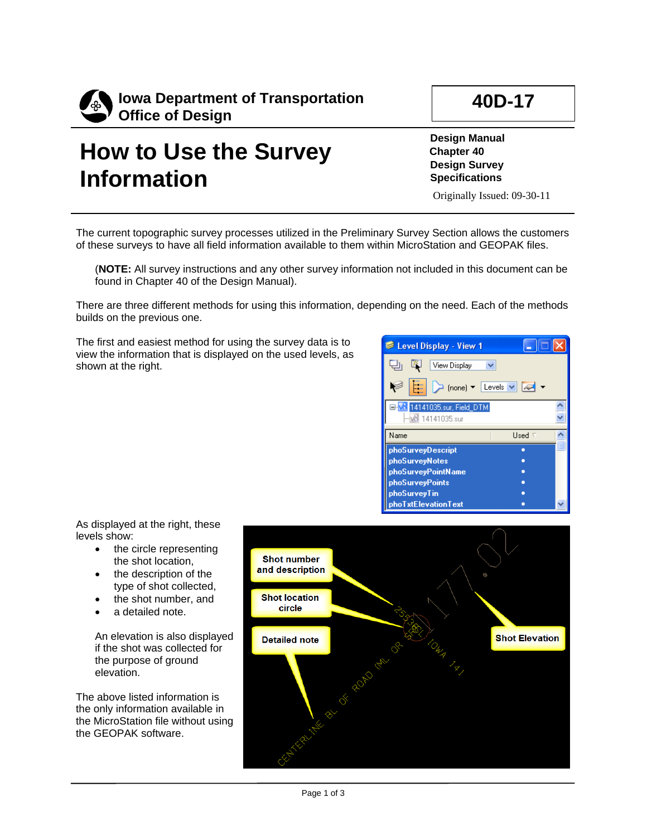

## **How to Use the Survey Information**

**Design Manual Chapter 40 Design Survey Specifications**

Originally Issued: 09-30-11

The current topographic survey processes utilized in the Preliminary Survey Section allows the customers of these surveys to have all field information available to them within MicroStation and GEOPAK files.

(**NOTE:** All survey instructions and any other survey information not included in this document can be found in Chapter 40 of the Design Manual).

There are three different methods for using this information, depending on the need. Each of the methods builds on the previous one.

The first and easiest method for using the survey data is to view the information that is displayed on the used levels, as shown at the right.

| Level Display - View 1                                                | H.            |
|-----------------------------------------------------------------------|---------------|
| View Display                                                          |               |
| $\Box$ (none) $\blacktriangledown$ Levels $\blacktriangledown$ $\Box$ |               |
| 14141035.sur, Field, DTM<br>14141035.sur                              |               |
|                                                                       |               |
| Name                                                                  | Used $\nabla$ |
| phoSurveyDescript                                                     |               |
| phoSurveyNotes                                                        |               |
| phoSurveyPointName                                                    |               |
| phoSurveyPoints                                                       |               |
| phoSurveyTin                                                          |               |

As displayed at the right, these levels show:

- the circle representing the shot location,
- the description of the type of shot collected,
- the shot number, and
- a detailed note.

An elevation is also displayed if the shot was collected for the purpose of ground elevation.

The above listed information is the only information available in the MicroStation file without using the GEOPAK software.

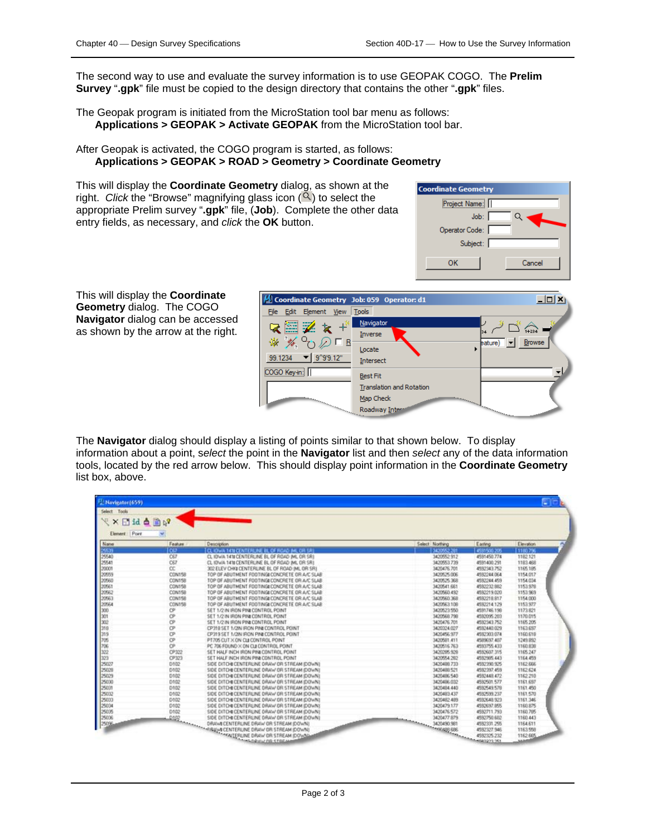The second way to use and evaluate the survey information is to use GEOPAK COGO. The **Prelim Survey** "**.gpk**" file must be copied to the design directory that contains the other "**.gpk**" files.

The Geopak program is initiated from the MicroStation tool bar menu as follows: **Applications > GEOPAK > Activate GEOPAK** from the MicroStation tool bar.

## After Geopak is activated, the COGO program is started, as follows: **Applications > GEOPAK > ROAD > Geometry > Coordinate Geometry**

This will display the **Coordinate Geometry** dialog, as shown at the right. *Click* the "Browse" magnifying glass icon  $(2)$  to select the appropriate Prelim survey "**.gpk**" file, (**Job**). Complete the other data entry fields, as necessary, and *click* the **OK** button.



This will display the **Coordinate Geometry** dialog. The COGO **Navigator** dialog can be accessed as shown by the arrow at the right.



The **Navigator** dialog should display a listing of points similar to that shown below. To display information about a point, s*elect* the point in the **Navigator** list and then *select* any of the data information tools, located by the red arrow below. This should display point information in the **Coordinate Geometry**  list box, above.

| Select Tools           |               |                                                |                 |             |           |  |  |  |  |
|------------------------|---------------|------------------------------------------------|-----------------|-------------|-----------|--|--|--|--|
|                        |               |                                                |                 |             |           |  |  |  |  |
| X Hid a n <sup>2</sup> |               |                                                |                 |             |           |  |  |  |  |
| Element: Point         |               |                                                |                 |             |           |  |  |  |  |
| Name                   | Feature       | <b>Description</b>                             | Select Northing | Easting     | Elevatori |  |  |  |  |
| 75 T                   | raa           | LCL KIWA 1418 CENTERLINE BL OF ROAD AK, OR SRI | 3420502.201     | 450500.205  | 11180.29  |  |  |  |  |
| 25540                  | C67           | CL 10WA 141# CENTERLINE BL OF ROAD IML OR SRI  | 3420552 912     | 4531450.774 | 1182.121  |  |  |  |  |
| 25541                  | C67           | CL 10 WA 1418 CENTERLINE BL OF ROAD IML OR SRI | 3420553739      | 4591400.291 | 1183.468  |  |  |  |  |
| 20001                  | CC.           | 302 ELEV CHIV CENTERLINE BL OF ROAD INL OR SRI | 3420476.701     | 4592343752  | 1165.185  |  |  |  |  |
| 20559                  | <b>CON158</b> | TOP OF ABUTMENT FOOTING CONCRETE OR A/C SLAB   | 3420525.006     | 4592244.064 | 1154.017  |  |  |  |  |
| 20560                  | CON158        | TOP OF ABUTMENT FOOTING CONCRETE OR A/C SLAB   | 3420525.368     | 4532244.459 | 1154.034  |  |  |  |  |
| 20561                  | CON158        | TOP OF ABUTMENT FOOTING CONCRETE OR A/C SLAB   | 3420541.681     | 4592232.992 | 1153, 978 |  |  |  |  |
| 20562                  | <b>CON158</b> | TOP OF ABUTMENT FOOTING CONCRETE OR A/C SLAB   | 3420560.492     | 4592219.020 | 1153 969  |  |  |  |  |
| 20563                  | <b>CON158</b> | TOP OF ABUTMENT FOOTING/ CONCRETE OR A/C SLAB  | 3420560.368     | 4592218.817 | 1154,000  |  |  |  |  |
| 20564                  | <b>CON158</b> | TOP OF ABUTMENT FOOTING CONCRETE OR A/C SLAB   | 3420563.108     | 4592214 129 | 1153.977  |  |  |  |  |
| 300                    | ĊP            | SET 1/2 IN IRON PINI CONTROL POINT             | 3420523.550     | 4591746.198 | 1173.821  |  |  |  |  |
| 301                    | Ċ۴            | SET 1/2 IN IRON PINI CONTROL POINT             | 3420568.798     | 4502095.203 | 1170.015  |  |  |  |  |
| 300                    | СP            | SET 1/2 IN IRON PIN CONTROL POINT              | 3420476.701     | 4582343.752 | 1165,205  |  |  |  |  |
| 318                    | œ             | CP318 SET 1/2IN IRON PINI CONTROL POINT        | 3420324.027     | 4582440.029 | 1163,657  |  |  |  |  |
| 319                    | CP            | CP319 SET 1/2N IRON PINI CONTROL POINT         | 3420456.977     | 4582303.074 | 1160,618  |  |  |  |  |
| 705                    | СP            | PT705 CUT X ON CUI CONTROL POINT               | 3420501.411     | 4589037.407 | 1249.892  |  |  |  |  |
| 706                    | ĊP            | PC 706 FOUND X ON CLI CONTROL POINT            | 3420516763      | 45/0755 433 | 1160,038  |  |  |  |  |
| 322                    | CP322         | SET HALF INCH IRON PINI CONTROL POINT          | 3420295.929     | 4552607.315 | 1165,247  |  |  |  |  |
| 323                    | CP323         | SET HALF INCH IRON PINI CONTROL POINT          | 3420554.282     | 4552985.443 | 1164.459  |  |  |  |  |
| 25027                  | D102          | SIDE DITCHI CENTERUNE DRAW OR STREAM IDOWNI    | 3420488.733     | 4552390.925 | 1162.666  |  |  |  |  |
| 2502                   | D102          | SIDE DITCHI CENTERLINE DRAW OR STREAM (DOWN)   | 3420488.521     | 4592397.459 | 1162.624  |  |  |  |  |
| 25029                  | D102          | SIDE DITCHECENTERLINE DRAW OR STREAM (DOWN)    | 3420496540      | 4552448.472 | 1162.210  |  |  |  |  |
| 25000                  | D102          | SIDE DITCHI CENTERLINE DRAW OR STREAM (DOWN)   | 3420496.032     | 4582501.577 | 1161.697  |  |  |  |  |
| 25031                  | D102          | SIDE DITCHI CENTERLINE DRAW OR STREAM (DOWN)   | 34204B4.44D     | 4592549.578 | 1161.450  |  |  |  |  |
| 25032                  | D102          | SIDE DITCHI CENTERLINE DRAW OR STREAM IDOWNI   | 3420483.437     | 4582599.237 | 1161.570  |  |  |  |  |
| 25033                  | 0102          | SIDE DITCHI CENTERLINE DRAW OR STREAM IDOWNI   | 3420482-489     | 4592648.923 | 1161,346  |  |  |  |  |
| 25034                  | D102          | SIDE DITCHECENTERLINE DRAW OR STREAM (DOWN)    | 3420479.177     | 4552637,955 | 1160.875  |  |  |  |  |
| 25035                  | D102          | SIDE DITCHECENTERLINE DRAW OR STREAM (DOWN)    | 3420476.572     | 4532711.793 | 1160.705  |  |  |  |  |
| 25036                  |               | SIDE DITCHI CENTERLINE DRAW OR STREAM (DOWN)   |                 |             | 1160.443  |  |  |  |  |
| 250%                   |               |                                                |                 |             | 1164.611  |  |  |  |  |
|                        |               | SIDE DITCH THE DRAW OR STREAM DOWN             |                 |             | 1163,558  |  |  |  |  |
|                        |               |                                                |                 |             | 1162,665  |  |  |  |  |
|                        |               |                                                |                 |             |           |  |  |  |  |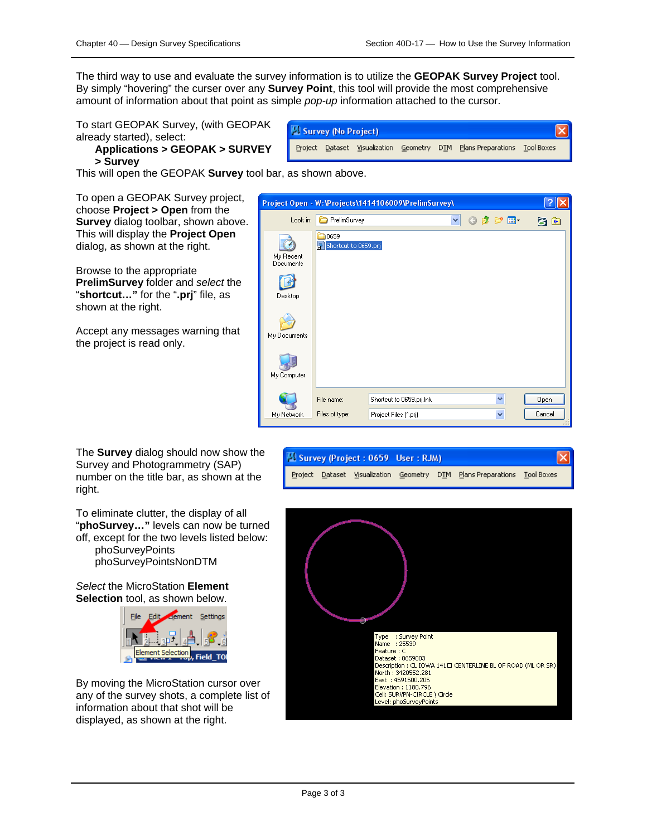The third way to use and evaluate the survey information is to utilize the **GEOPAK Survey Project** tool. By simply "hovering" the curser over any **Survey Point**, this tool will provide the most comprehensive amount of information about that point as simple *pop-up* information attached to the cursor.

To start GEOPAK Survey, (with GEOPAK already started), select:

## **Applications > GEOPAK > SURVEY > Survey**

This will open the GEOPAK **Survey** tool bar, as shown above.

To open a GEOPAK Survey project, choose **Project > Open** from the **Survey** dialog toolbar, shown above. This will display the **Project Open**  dialog, as shown at the right.

Browse to the appropriate **PrelimSurvey** folder and *select* the "**shortcut…"** for the "**.prj**" file, as shown at the right.

Accept any messages warning that the project is read only.

The **Survey** dialog should now show the Survey and Photogrammetry (SAP) number on the title bar, as shown at the right.

To eliminate clutter, the display of all "**phoSurvey…"** levels can now be turned off, except for the two levels listed below: phoSurveyPoints phoSurveyPointsNonDTM

*Select* the MicroStation **Element Selection** tool, as shown below.



By moving the MicroStation cursor over any of the survey shots, a complete list of information about that shot will be displayed, as shown at the right.

| Survey (No Project) |  |  |  |  |                                                                          |  |  |
|---------------------|--|--|--|--|--------------------------------------------------------------------------|--|--|
|                     |  |  |  |  | Project Dataset Visualization Geometry DTM Plans Preparations Tool Boxes |  |  |